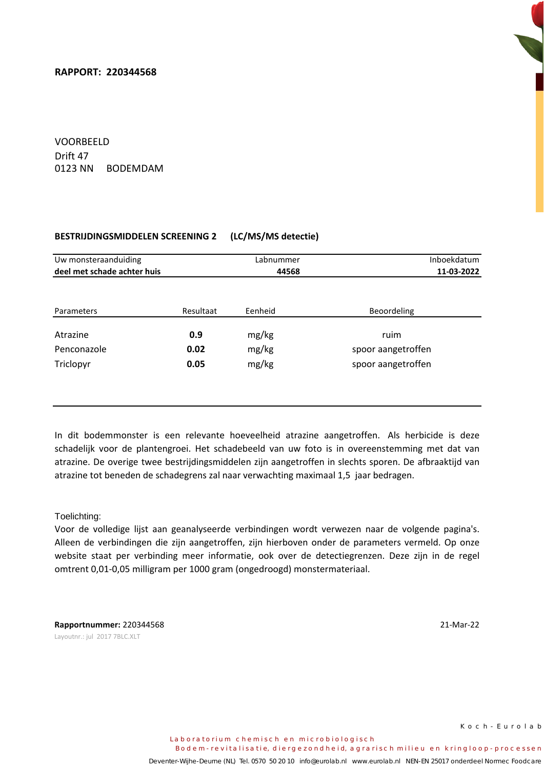# **RAPPORT: 220344568**

Drift 47 VOORBEELD 0123 NN BODEMDAM

# **BESTRIJDINGSMIDDELEN SCREENING 2 (LC/MS/MS detectie)**

| Uw monsteraanduiding        |           | Labnummer | <b>Inboekdatum</b> |
|-----------------------------|-----------|-----------|--------------------|
| deel met schade achter huis |           | 44568     | 11-03-2022         |
|                             |           |           |                    |
|                             |           |           |                    |
| Parameters                  | Resultaat | Eenheid   | Beoordeling        |
|                             |           |           |                    |
| Atrazine                    | 0.9       | mg/kg     | ruim               |
| Penconazole                 | 0.02      | mg/kg     | spoor aangetroffen |
| Triclopyr                   | 0.05      | mg/kg     | spoor aangetroffen |
|                             |           |           |                    |
|                             |           |           |                    |

In dit bodemmonster is een relevante hoeveelheid atrazine aangetroffen. Als herbicide is deze schadelijk voor de plantengroei. Het schadebeeld van uw foto is in overeenstemming met dat van atrazine. De overige twee bestrijdingsmiddelen zijn aangetroffen in slechts sporen. De afbraaktijd van atrazine tot beneden de schadegrens zal naar verwachting maximaal 1,5 jaar bedragen.

Toelichting:

Voor de volledige lijst aan geanalyseerde verbindingen wordt verwezen naar de volgende pagina's. Alleen de verbindingen die zijn aangetroffen, zijn hierboven onder de parameters vermeld. Op onze website staat per verbinding meer informatie, ook over de detectiegrenzen. Deze zijn in de regel omtrent 0,01-0,05 milligram per 1000 gram (ongedroogd) monstermateriaal.

**Rapportnummer:** 220344568 21-Mar-22 Layoutnr.: jul 2017 7BLC.XLT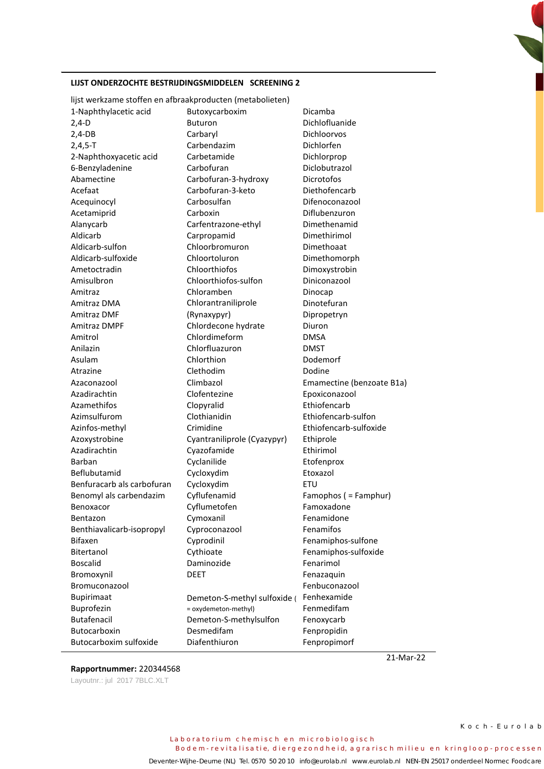# **LIJST ONDERZOCHTE BESTRIJDINGSMIDDELEN SCREENING 2**

| lijst werkzame stoffen en afbraakproducten (metabolieten) |                              |                             |
|-----------------------------------------------------------|------------------------------|-----------------------------|
| 1-Naphthylacetic acid                                     | Butoxycarboxim               | Dicamba                     |
| $2,4-D$                                                   | <b>Buturon</b>               | Dichlofluanide              |
| $2,4-DB$                                                  | Carbaryl                     | Dichloorvos                 |
| $2,4,5-T$                                                 | Carbendazim                  | Dichlorfen                  |
| 2-Naphthoxyacetic acid                                    | Carbetamide                  | Dichlorprop                 |
| 6-Benzyladenine                                           | Carbofuran                   | Diclobutrazol               |
| Abamectine                                                | Carbofuran-3-hydroxy         | <b>Dicrotofos</b>           |
| Acefaat                                                   | Carbofuran-3-keto            | Diethofencarb               |
| Acequinocyl                                               | Carbosulfan                  | Difenoconazool              |
| Acetamiprid                                               | Carboxin                     | Diflubenzuron               |
| Alanycarb                                                 | Carfentrazone-ethyl          | Dimethenamid                |
| Aldicarb                                                  | Carpropamid                  | Dimethirimol                |
| Aldicarb-sulfon                                           | Chloorbromuron               | Dimethoaat                  |
| Aldicarb-sulfoxide                                        | Chloortoluron                | Dimethomorph                |
| Ametoctradin                                              | Chloorthiofos                | Dimoxystrobin               |
| Amisulbron                                                | Chloorthiofos-sulfon         | Diniconazool                |
| Amitraz                                                   | Chloramben                   | Dinocap                     |
| Amitraz DMA                                               | Chlorantraniliprole          | Dinotefuran                 |
| <b>Amitraz DMF</b>                                        | (Rynaxypyr)                  | Dipropetryn                 |
| <b>Amitraz DMPF</b>                                       | Chlordecone hydrate          | Diuron                      |
| Amitrol                                                   | Chlordimeform                | <b>DMSA</b>                 |
| Anilazin                                                  | Chlorfluazuron               | <b>DMST</b>                 |
| Asulam                                                    | Chlorthion                   | Dodemorf                    |
| Atrazine                                                  | Clethodim                    | Dodine                      |
| Azaconazool                                               | Climbazol                    | Emamectine (benzoate B1a)   |
| Azadirachtin                                              | Clofentezine                 | Epoxiconazool               |
| Azamethifos                                               | Clopyralid                   | Ethiofencarb                |
| Azimsulfurom                                              | Clothianidin                 | Ethiofencarb-sulfon         |
| Azinfos-methyl                                            | Crimidine                    | Ethiofencarb-sulfoxide      |
| Azoxystrobine                                             | Cyantraniliprole (Cyazypyr)  | Ethiprole                   |
| Azadirachtin                                              | Cyazofamide                  | Ethirimol                   |
| Barban                                                    | Cyclanilide                  | Etofenprox                  |
| Beflubutamid                                              | Cycloxydim                   | Etoxazol                    |
| Benfuracarb als carbofuran                                | Cycloxydim                   | ETU                         |
| Benomyl als carbendazim                                   | Cyflufenamid                 | Famophos ( = Famphur)       |
| Benoxacor                                                 | Cyflumetofen                 | Famoxadone                  |
| Bentazon                                                  |                              | Fenamidone                  |
| Benthiavalicarb-isopropyl                                 | Cymoxanil<br>Cyproconazool   | Fenamifos                   |
| Bifaxen                                                   | Cyprodinil                   | Fenamiphos-sulfone          |
| Bitertanol                                                | Cythioate                    | Fenamiphos-sulfoxide        |
| <b>Boscalid</b>                                           | Daminozide                   | Fenarimol                   |
|                                                           | <b>DEET</b>                  |                             |
| Bromoxynil<br>Bromuconazool                               |                              | Fenazaquin<br>Fenbuconazool |
|                                                           |                              |                             |
| <b>Bupirimaat</b>                                         | Demeton-S-methyl sulfoxide ( | Fenhexamide                 |
| Buprofezin                                                | = oxydemeton-methyl)         | Fenmedifam                  |
| Butafenacil                                               | Demeton-S-methylsulfon       | Fenoxycarb                  |
| Butocarboxin                                              | Desmedifam                   | Fenpropidin                 |
| Butocarboxim sulfoxide                                    | Diafenthiuron                | Fenpropimorf                |

#### **Rapportnummer:** 220344568

Layoutnr.: jul 2017 7BLC.XLT

21-Mar-22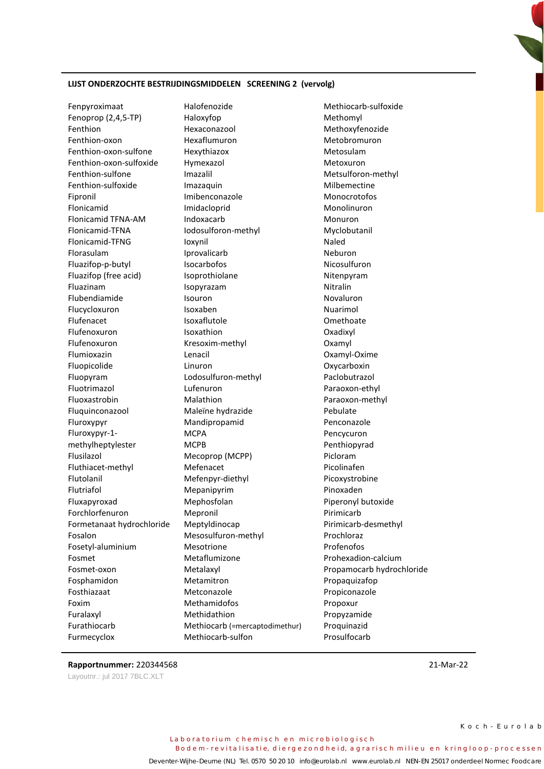# LIJST ONDERZOCHTE BESTRIJDINGSMIDDELEN SCREENING 2 (vervolg)

Fenpyroximaat Fenoprop (2,4,5-TP) Fenthion Fenthion-oxon Fenthion-oxon-sulfone Fenthion-oxon-sulfoxide Fenthion-sulfone Fenthion-sulfoxide Fipronil Flonicamid **Flonicamid TFNA-AM** Flonicamid-TFNA Flonicamid-TFNG Florasulam Fluazifop-p-butyl Fluazifop (free acid) Fluazinam Flubendiamide Flucycloxuron Flufenacet Flufenoxuron Flufenoxuron Flumioxazin Fluopicolide Fluopvram Fluotrimazol Fluoxastrobin Fluquinconazool Fluroxypyr Fluroxypyr-1methylheptylester Flusilazol Fluthiacet-methyl Flutolanil Flutriafol Fluxapyroxad Forchlorfenuron Formetanaat hydrochloride Fosalon Fosetyl-aluminium Ensmet Fosmet-oxon Fosphamidon Fosthiazaat Foxim Furalaxyl Furathiocarb Furmecyclox

Halofenozide Haloxyfop Hexaconazool Hexaflumuron Hexythiazox Hymexazol Imazalil Imazaquin Imibenconazole Imidacloprid Indoxacarb Iodosulforon-methyl loxvnil Iprovalicarb Isocarbofos Isoprothiolane Isopyrazam Isouron Isoxaben Isoxaflutole Isovathion Kresoxim-methyl Lenacil Linuron Lodosulfuron-methyl Lufenuron Malathion Maleïne hydrazide Mandipropamid **MCPA MCPB** Mecoprop (MCPP) Mefenacet Mefenpyr-diethyl Mepanipyrim Mephosfolan Mepronil Meptyldinocap Mesosulfuron-methyl Mesotrione Metaflumizone Metalaxyl Metamitron Metconazole Methamidofos Methidathion Methiocarb (=mercaptodimethur) Methiocarb-sulfon

Methiocarb-sulfoxide Methomyl Methoxyfenozide Metobromuron Metosulam Metoxuron Metsulforon-methyl Milbemectine Monocrotofos Monolinuron Monuron Myclobutanil Naled Neburon Nicosulfuron Nitenpyram Nitralin Novaluron Nuarimol Omethoate Oxadixyl Oxamyl Oxamyl-Oxime Oxycarboxin Paclobutrazol Paraoxon-ethyl Paraoxon-methyl Pebulate Penconazole Pencycuron Penthiopyrad Picloram Picolinafen Picoxystrobine Pinoxaden Piperonyl butoxide Pirimicarb Pirimicarb-desmethyl Prochloraz Profenofos Prohexadion-calcium Propamocarb hydrochloride Propaquizafop Propiconazole Propoxur Propyzamide Proquinazid Prosulfocarb

# Rapportnummer: 220344568

Layoutnr.: jul 2017 7BLC.XLT

21-Mar-22